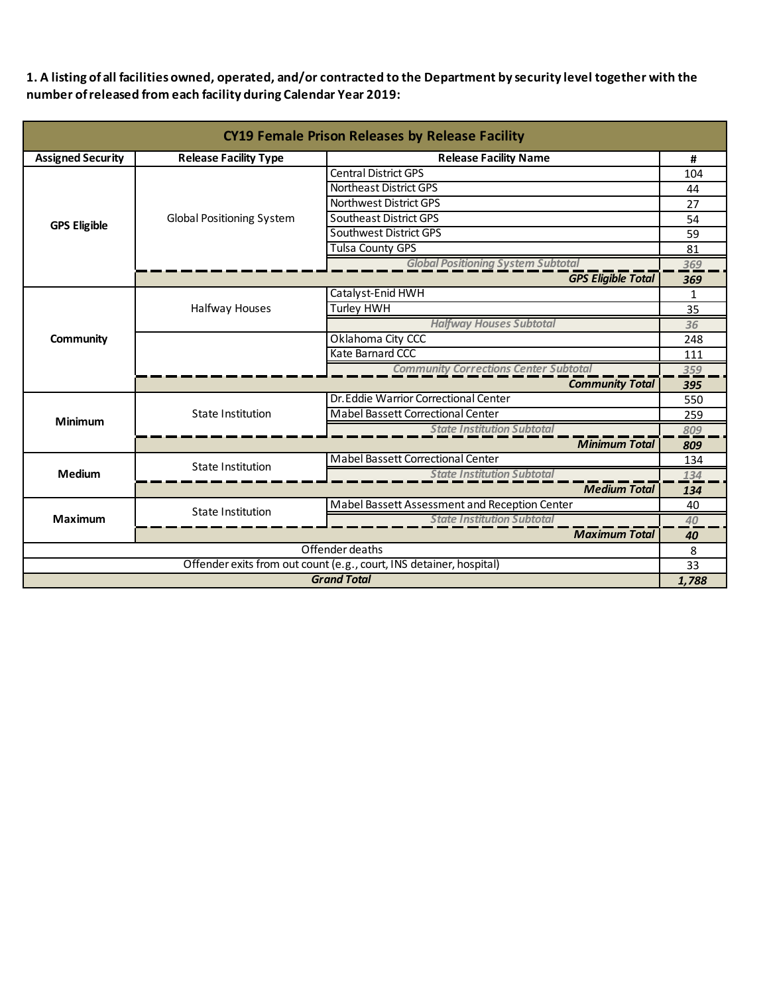**1. A listing of all facilities owned, operated, and/or contracted to the Department by security level together with the number of released from each facility during Calendar Year 2019:**

| <b>CY19 Female Prison Releases by Release Facility</b>              |                                  |                                                           |              |  |
|---------------------------------------------------------------------|----------------------------------|-----------------------------------------------------------|--------------|--|
| <b>Assigned Security</b>                                            | <b>Release Facility Type</b>     | <b>Release Facility Name</b>                              | #            |  |
|                                                                     |                                  | <b>Central District GPS</b>                               | 104          |  |
|                                                                     |                                  | Northeast District GPS                                    | 44           |  |
|                                                                     |                                  | Northwest District GPS                                    | 27           |  |
| <b>GPS Eligible</b>                                                 | <b>Global Positioning System</b> | <b>Southeast District GPS</b>                             | 54           |  |
|                                                                     |                                  | Southwest District GPS                                    | 59           |  |
|                                                                     |                                  | <b>Tulsa County GPS</b>                                   | 81           |  |
|                                                                     |                                  | <b>Global Positioning System Subtotal</b>                 | 369          |  |
|                                                                     |                                  | <b>GPS Eligible Total</b>                                 | 369          |  |
|                                                                     |                                  | Catalyst-Enid HWH                                         | $\mathbf{1}$ |  |
|                                                                     | Halfway Houses                   | <b>Turley HWH</b>                                         | 35           |  |
|                                                                     |                                  | <b>Halfway Houses Subtotal</b>                            | 36           |  |
| <b>Community</b>                                                    |                                  | Oklahoma City CCC                                         | 248          |  |
|                                                                     |                                  | Kate Barnard CCC                                          | 111          |  |
|                                                                     |                                  | <b>Community Corrections Center Subtotal</b>              | 359          |  |
|                                                                     |                                  | <b>Community Total</b>                                    | 395          |  |
|                                                                     | <b>State Institution</b>         | Dr. Eddie Warrior Correctional Center                     | 550          |  |
| Minimum                                                             |                                  | <b>Mabel Bassett Correctional Center</b>                  | 259          |  |
|                                                                     |                                  | <b>State Institution Subtotal</b>                         | 809          |  |
|                                                                     |                                  | <b>Minimum Total</b>                                      | 809          |  |
|                                                                     | State Institution                | Mabel Bassett Correctional Center                         | 134          |  |
| <b>Medium</b>                                                       |                                  | <b>State Institution Subtotal</b>                         | 134          |  |
|                                                                     |                                  | <b>Medium Total</b>                                       | 134          |  |
|                                                                     | <b>State Institution</b>         | Mabel Bassett Assessment and Reception Center             | 40           |  |
| Maximum                                                             |                                  | <b>State Institution Subtotal</b><br><b>Maximum Total</b> | 40<br>40     |  |
|                                                                     |                                  | Offender deaths                                           | 8            |  |
| Offender exits from out count (e.g., court, INS detainer, hospital) |                                  |                                                           | 33           |  |
| <b>Grand Total</b>                                                  |                                  |                                                           |              |  |
| 1,788                                                               |                                  |                                                           |              |  |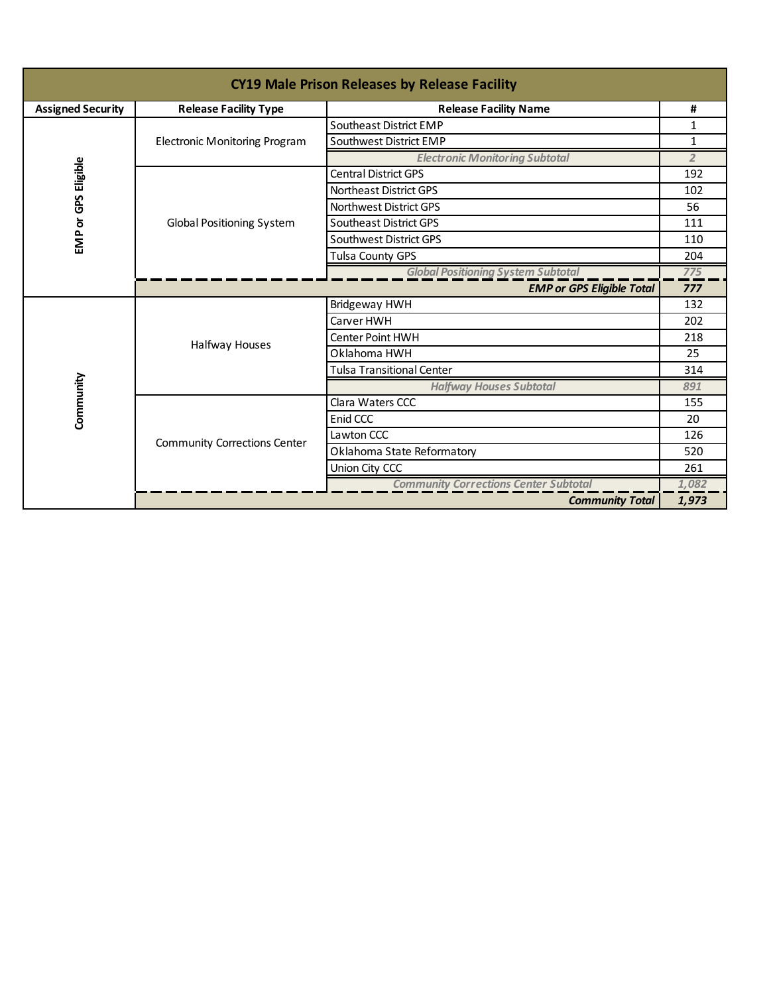| <b>CY19 Male Prison Releases by Release Facility</b> |                                                              |                                           |                |  |
|------------------------------------------------------|--------------------------------------------------------------|-------------------------------------------|----------------|--|
| <b>Assigned Security</b>                             | <b>Release Facility Type</b><br><b>Release Facility Name</b> |                                           | #              |  |
|                                                      |                                                              | Southeast District EMP                    | 1              |  |
|                                                      | <b>Electronic Monitoring Program</b>                         | Southwest District EMP                    | $\mathbf{1}$   |  |
|                                                      |                                                              | <b>Electronic Monitoring Subtotal</b>     | $\overline{2}$ |  |
| EMP or GPS Eligible                                  |                                                              | Central District GPS                      | 192            |  |
|                                                      |                                                              | Northeast District GPS                    | 102            |  |
|                                                      |                                                              | Northwest District GPS                    | 56             |  |
|                                                      | <b>Global Positioning System</b>                             | Southeast District GPS                    | 111            |  |
|                                                      |                                                              | Southwest District GPS                    | 110            |  |
|                                                      |                                                              | <b>Tulsa County GPS</b>                   | 204            |  |
|                                                      |                                                              | <b>Global Positioning System Subtotal</b> | 775            |  |
|                                                      | <b>EMP or GPS Eligible Total</b>                             |                                           |                |  |
|                                                      | Halfway Houses                                               | <b>Bridgeway HWH</b>                      | 132            |  |
|                                                      |                                                              | Carver HWH                                | 202            |  |
|                                                      |                                                              | <b>Center Point HWH</b>                   | 218            |  |
|                                                      |                                                              | Oklahoma HWH                              | 25             |  |
|                                                      |                                                              | Tulsa Transitional Center                 | 314            |  |
| Community                                            |                                                              | <b>Halfway Houses Subtotal</b>            | 891            |  |
|                                                      | <b>Community Corrections Center</b>                          | Clara Waters CCC                          | 155            |  |
|                                                      |                                                              | Enid CCC                                  | 20             |  |
|                                                      |                                                              | Lawton CCC                                | 126            |  |
|                                                      |                                                              | Oklahoma State Reformatory                | 520            |  |
|                                                      |                                                              | Union City CCC                            | 261            |  |
|                                                      | <b>Community Corrections Center Subtotal</b>                 |                                           |                |  |
|                                                      | <b>Community Total</b>                                       |                                           |                |  |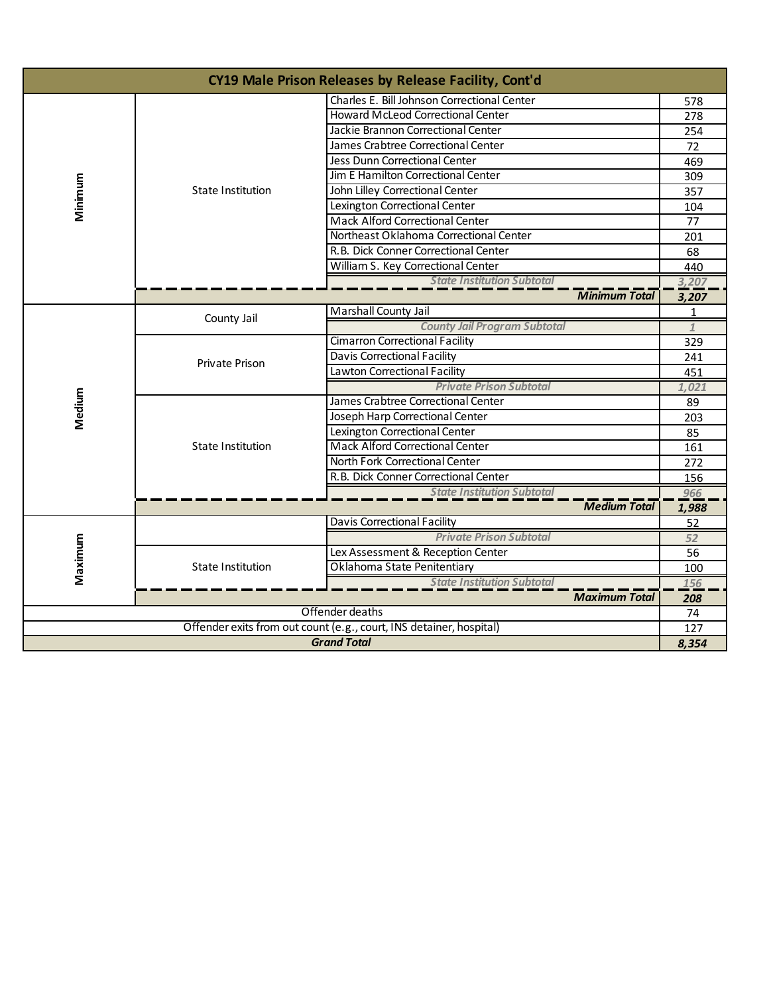| CY19 Male Prison Releases by Release Facility, Cont'd               |                                   |                                             |              |
|---------------------------------------------------------------------|-----------------------------------|---------------------------------------------|--------------|
|                                                                     |                                   | Charles E. Bill Johnson Correctional Center | 578          |
| Minimum                                                             |                                   | <b>Howard McLeod Correctional Center</b>    | 278          |
|                                                                     |                                   | Jackie Brannon Correctional Center          | 254          |
|                                                                     |                                   | James Crabtree Correctional Center          | 72           |
|                                                                     | State Institution                 | Jess Dunn Correctional Center               | 469          |
|                                                                     |                                   | Jim E Hamilton Correctional Center          | 309          |
|                                                                     |                                   | John Lilley Correctional Center             | 357          |
|                                                                     |                                   | Lexington Correctional Center               | 104          |
|                                                                     |                                   | <b>Mack Alford Correctional Center</b>      | 77           |
|                                                                     |                                   | Northeast Oklahoma Correctional Center      | 201          |
|                                                                     |                                   | R.B. Dick Conner Correctional Center        | 68           |
|                                                                     |                                   | William S. Key Correctional Center          | 440          |
|                                                                     |                                   | <b>State Institution Subtotal</b>           | 3,207        |
|                                                                     |                                   | <b>Minimum Total</b>                        | 3,207        |
|                                                                     | County Jail                       | Marshall County Jail                        | 1            |
|                                                                     |                                   | <b>County Jail Program Subtotal</b>         | $\mathbf{1}$ |
|                                                                     | Private Prison                    | Cimarron Correctional Facility              | 329          |
|                                                                     |                                   | <b>Davis Correctional Facility</b>          | 241          |
|                                                                     |                                   | Lawton Correctional Facility                | 451          |
|                                                                     |                                   | <b>Private Prison Subtotal</b>              | 1,021        |
| Medium                                                              | State Institution                 | James Crabtree Correctional Center          | 89           |
|                                                                     |                                   | Joseph Harp Correctional Center             | 203          |
|                                                                     |                                   | Lexington Correctional Center               | 85           |
|                                                                     |                                   | <b>Mack Alford Correctional Center</b>      | 161          |
|                                                                     |                                   | North Fork Correctional Center              | 272          |
|                                                                     |                                   | R.B. Dick Conner Correctional Center        | 156          |
|                                                                     |                                   | <b>State Institution Subtotal</b>           | 966          |
|                                                                     |                                   | <b>Medium Total</b>                         | 1,988        |
|                                                                     |                                   | Davis Correctional Facility                 | 52           |
|                                                                     |                                   | <b>Private Prison Subtotal</b>              | 52           |
|                                                                     | <b>State Institution</b>          | Lex Assessment & Reception Center           | 56           |
| Maximum                                                             |                                   | Oklahoma State Penitentiary                 | 100          |
|                                                                     | <b>State Institution Subtotal</b> |                                             | 156          |
|                                                                     |                                   | <b>Maximum Total</b>                        | 208<br>74    |
| Offender deaths                                                     |                                   |                                             |              |
| Offender exits from out count (e.g., court, INS detainer, hospital) |                                   |                                             | 127<br>8,354 |
| <b>Grand Total</b>                                                  |                                   |                                             |              |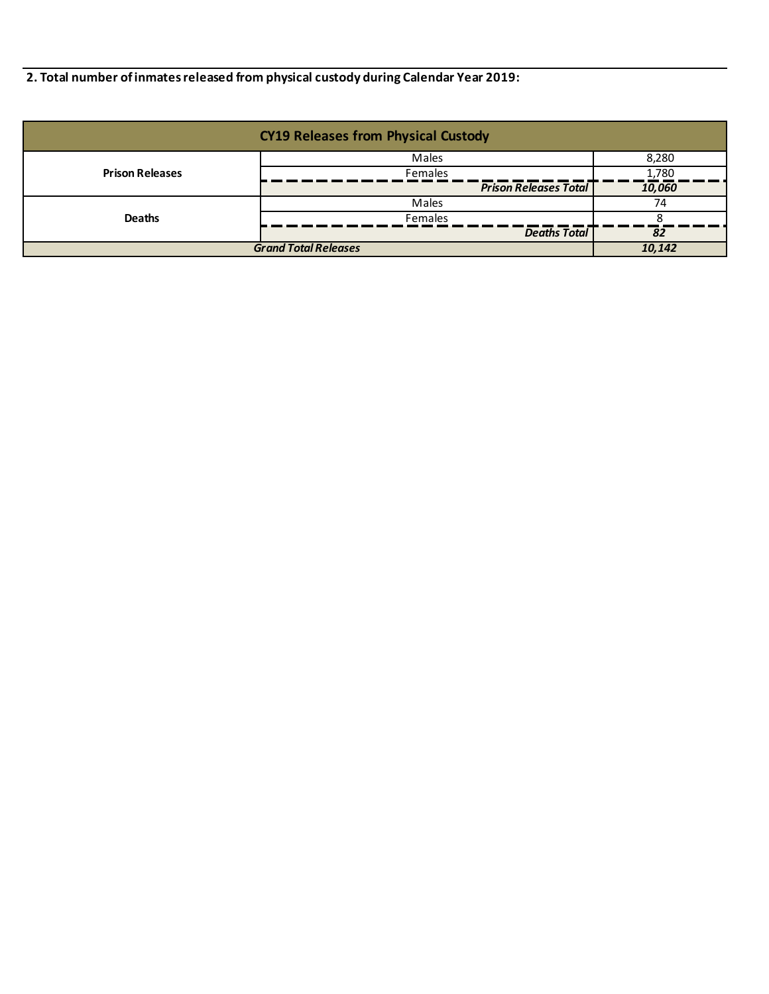**2. Total number of inmates released from physical custody during Calendar Year 2019:**

| <b>CY19 Releases from Physical Custody</b> |                              |        |  |
|--------------------------------------------|------------------------------|--------|--|
|                                            | Males                        | 8,280  |  |
| <b>Prison Releases</b>                     | Females                      | 1,780  |  |
|                                            | <b>Prison Releases Total</b> | 10,060 |  |
|                                            | Males                        | 74     |  |
| <b>Deaths</b>                              | <b>Females</b>               |        |  |
|                                            | <b>Deaths Total</b>          | 82     |  |
| <b>Grand Total Releases</b>                | 10,142                       |        |  |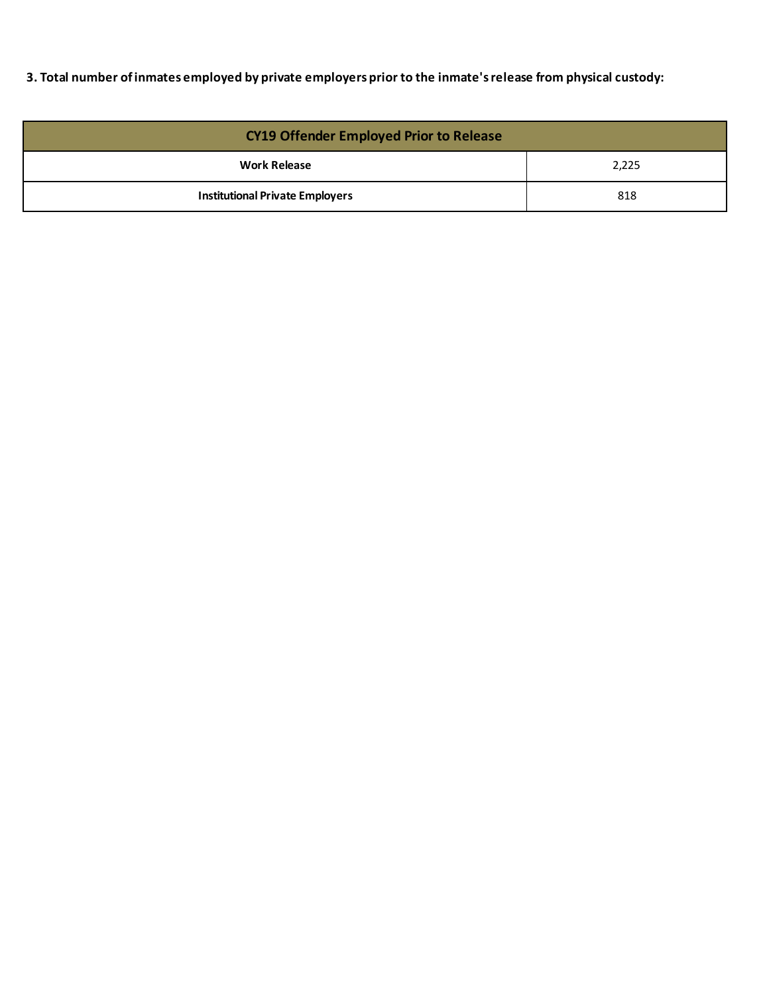**3. Total number of inmates employed by private employers prior to the inmate's release from physical custody:**

| <b>CY19 Offender Employed Prior to Release</b> |       |  |  |
|------------------------------------------------|-------|--|--|
| <b>Work Release</b>                            | 2,225 |  |  |
| <b>Institutional Private Employers</b>         | 818   |  |  |